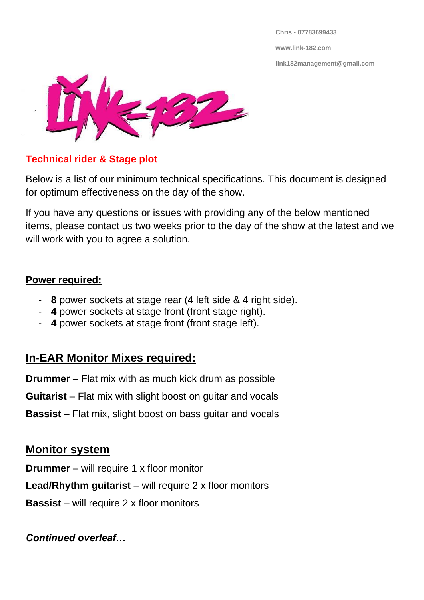**Chris - 07783699433**

**[www.link-182.com](http://www.link-182.com/)**

**[link182management@gmail.com](mailto:link182management@gmail.com)**



#### **Technical rider & Stage plot**

Below is a list of our minimum technical specifications. This document is designed for optimum effectiveness on the day of the show.

If you have any questions or issues with providing any of the below mentioned items, please contact us two weeks prior to the day of the show at the latest and we will work with you to agree a solution.

#### **Power required:**

- **8** power sockets at stage rear (4 left side & 4 right side).
- 4 power sockets at stage front (front stage right).
- **4** power sockets at stage front (front stage left).

# **In-EAR Monitor Mixes required:**

**Drummer** – Flat mix with as much kick drum as possible **Guitarist** – Flat mix with slight boost on guitar and vocals **Bassist** – Flat mix, slight boost on bass guitar and vocals

## **Monitor system**

**Drummer** – will require 1 x floor monitor

**Lead/Rhythm guitarist** – will require 2 x floor monitors

**Bassist** – will require 2 x floor monitors

### *Continued overleaf…*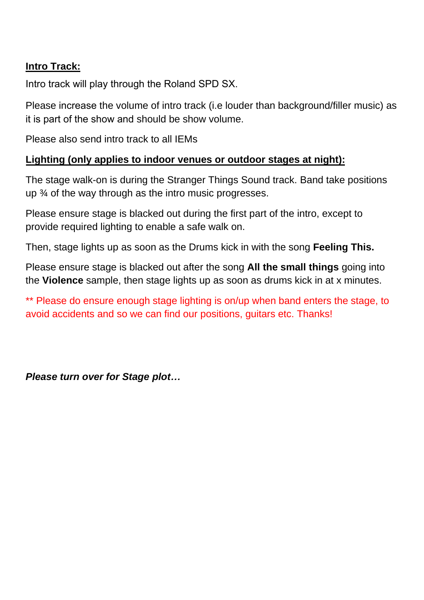#### **Intro Track:**

Intro track will play through the Roland SPD SX.

Please increase the volume of intro track (i.e louder than background/filler music) as it is part of the show and should be show volume.

Please also send intro track to all IEMs

#### **Lighting (only applies to indoor venues or outdoor stages at night):**

The stage walk-on is during the Stranger Things Sound track. Band take positions up ¾ of the way through as the intro music progresses.

Please ensure stage is blacked out during the first part of the intro, except to provide required lighting to enable a safe walk on.

Then, stage lights up as soon as the Drums kick in with the song **Feeling This.** 

Please ensure stage is blacked out after the song **All the small things** going into the **Violence** sample, then stage lights up as soon as drums kick in at x minutes.

\*\* Please do ensure enough stage lighting is on/up when band enters the stage, to avoid accidents and so we can find our positions, guitars etc. Thanks!

*Please turn over for Stage plot…*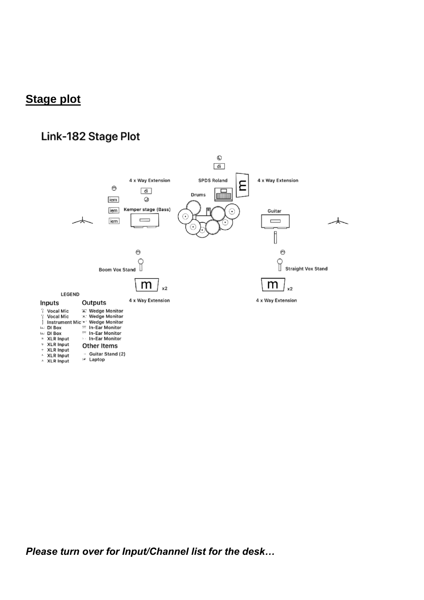## **Stage plot**

### Link-182 Stage Plot



*Please turn over for Input/Channel list for the desk…*